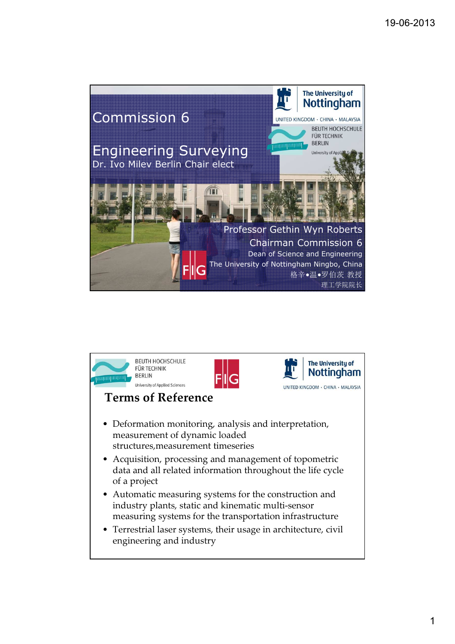

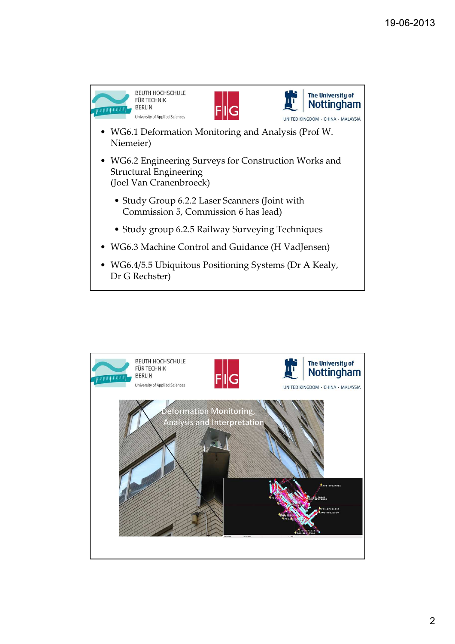

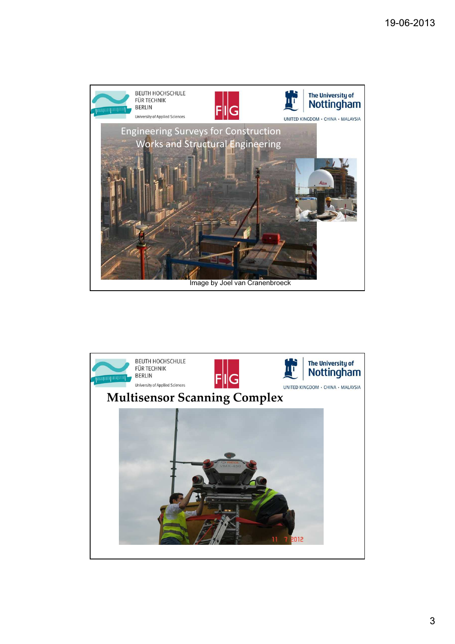

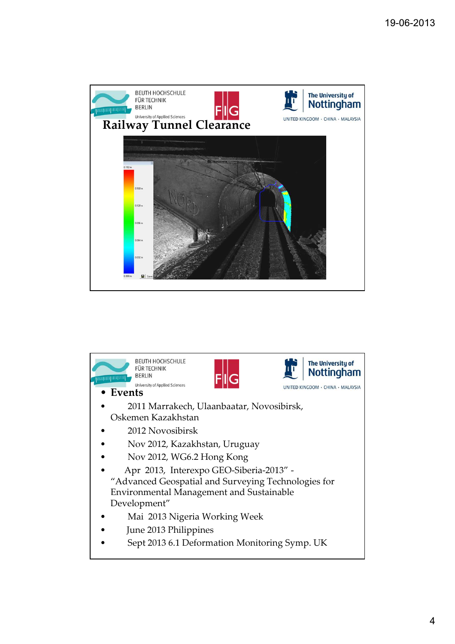

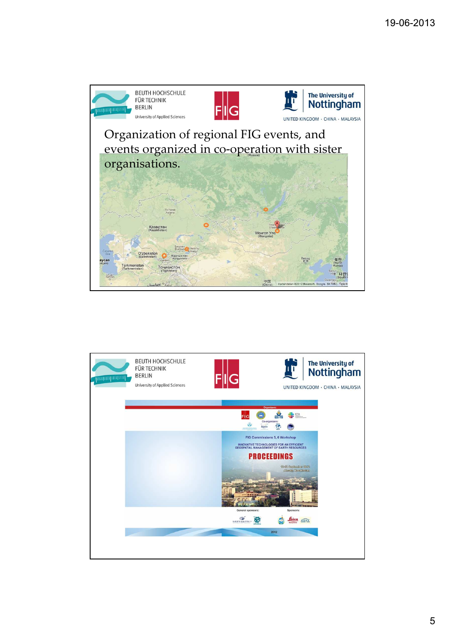